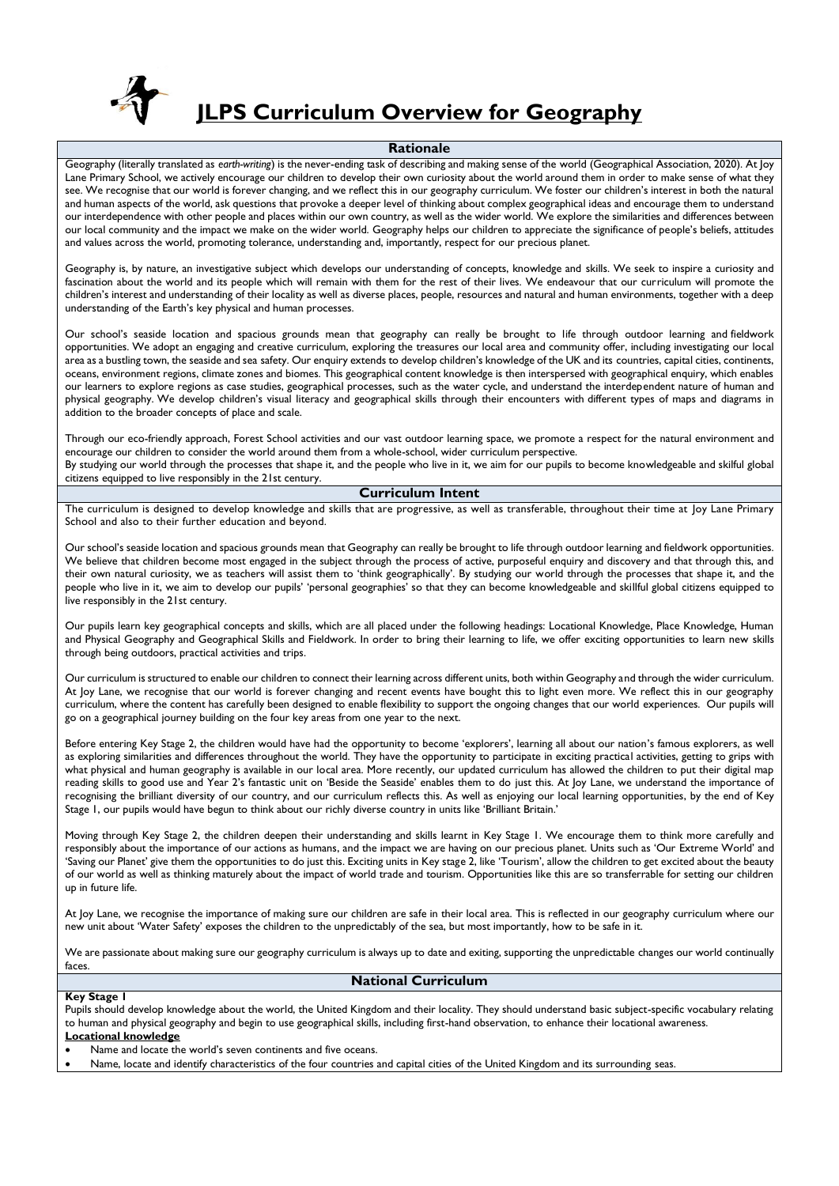

# **JLPS Curriculum Overview for Geography**

#### **Rationale**

Geography (literally translated as *earth-writing*) is the never-ending task of describing and making sense of the world (Geographical Association, 2020). At Joy Lane Primary School, we actively encourage our children to develop their own curiosity about the world around them in order to make sense of what they see. We recognise that our world is forever changing, and we reflect this in our geography curriculum. We foster our children's interest in both the natural and human aspects of the world, ask questions that provoke a deeper level of thinking about complex geographical ideas and encourage them to understand our interdependence with other people and places within our own country, as well as the wider world. We explore the similarities and differences between our local community and the impact we make on the wider world. Geography helps our children to appreciate the significance of people's beliefs, attitudes and values across the world, promoting tolerance, understanding and, importantly, respect for our precious planet.

Geography is, by nature, an investigative subject which develops our understanding of concepts, knowledge and skills. We seek to inspire a curiosity and fascination about the world and its people which will remain with them for the rest of their lives. We endeavour that our curriculum will promote the children's interest and understanding of their locality as well as diverse places, people, resources and natural and human environments, together with a deep understanding of the Earth's key physical and human processes.

Our school's seaside location and spacious grounds mean that geography can really be brought to life through outdoor learning and fieldwork opportunities. We adopt an engaging and creative curriculum, exploring the treasures our local area and community offer, including investigating our local area as a bustling town, the seaside and sea safety. Our enquiry extends to develop children's knowledge of the UK and its countries, capital cities, continents, oceans, environment regions, climate zones and biomes. This geographical content knowledge is then interspersed with geographical enquiry, which enables our learners to explore regions as case studies, geographical processes, such as the water cycle, and understand the interdependent nature of human and physical geography. We develop children's visual literacy and geographical skills through their encounters with different types of maps and diagrams in addition to the broader concepts of place and scale.

Through our eco-friendly approach, Forest School activities and our vast outdoor learning space, we promote a respect for the natural environment and encourage our children to consider the world around them from a whole-school, wider curriculum perspective. By studying our world through the processes that shape it, and the people who live in it, we aim for our pupils to become knowledgeable and skilful global citizens equipped to live responsibly in the 21st century.

#### **Curriculum Intent**

The curriculum is designed to develop knowledge and skills that are progressive, as well as transferable, throughout their time at Joy Lane Primary School and also to their further education and beyond.

Our school's seaside location and spacious grounds mean that Geography can really be brought to life through outdoor learning and fieldwork opportunities. We believe that children become most engaged in the subject through the process of active, purposeful enquiry and discovery and that through this, and their own natural curiosity, we as teachers will assist them to 'think geographically'. By studying our world through the processes that shape it, and the people who live in it, we aim to develop our pupils' 'personal geographies' so that they can become knowledgeable and skillful global citizens equipped to live responsibly in the 21st century.

Our pupils learn key geographical concepts and skills, which are all placed under the following headings: Locational Knowledge, Place Knowledge, Human and Physical Geography and Geographical Skills and Fieldwork. In order to bring their learning to life, we offer exciting opportunities to learn new skills through being outdoors, practical activities and trips.

Our curriculum is structured to enable our children to connect their learning across different units, both within Geography and through the wider curriculum. At Joy Lane, we recognise that our world is forever changing and recent events have bought this to light even more. We reflect this in our geography curriculum, where the content has carefully been designed to enable flexibility to support the ongoing changes that our world experiences. Our pupils will go on a geographical journey building on the four key areas from one year to the next.

Before entering Key Stage 2, the children would have had the opportunity to become 'explorers', learning all about our nation's famous explorers, as well as exploring similarities and differences throughout the world. They have the opportunity to participate in exciting practical activities, getting to grips with what physical and human geography is available in our local area. More recently, our updated curriculum has allowed the children to put their digital map reading skills to good use and Year 2's fantastic unit on 'Beside the Seaside' enables them to do just this. At Joy Lane, we understand the importance of recognising the brilliant diversity of our country, and our curriculum reflects this. As well as enjoying our local learning opportunities, by the end of Key Stage 1, our pupils would have begun to think about our richly diverse country in units like 'Brilliant Britain.'

Moving through Key Stage 2, the children deepen their understanding and skills learnt in Key Stage 1. We encourage them to think more carefully and responsibly about the importance of our actions as humans, and the impact we are having on our precious planet. Units such as 'Our Extreme World' and 'Saving our Planet' give them the opportunities to do just this. Exciting units in Key stage 2, like 'Tourism', allow the children to get excited about the beauty of our world as well as thinking maturely about the impact of world trade and tourism. Opportunities like this are so transferrable for setting our children up in future life.

At Joy Lane, we recognise the importance of making sure our children are safe in their local area. This is reflected in our geography curriculum where our new unit about 'Water Safety' exposes the children to the unpredictably of the sea, but most importantly, how to be safe in it.

We are passionate about making sure our geography curriculum is always up to date and exiting, supporting the unpredictable changes our world continually faces.

# **National Curriculum**

Pupils should develop knowledge about the world, the United Kingdom and their locality. They should understand basic subject-specific vocabulary relating to human and physical geography and begin to use geographical skills, including first-hand observation, to enhance their locational awareness. **Locational knowledge**

Name and locate the world's seven continents and five oceans.

**Key Stage 1**

Name, locate and identify characteristics of the four countries and capital cities of the United Kingdom and its surrounding seas.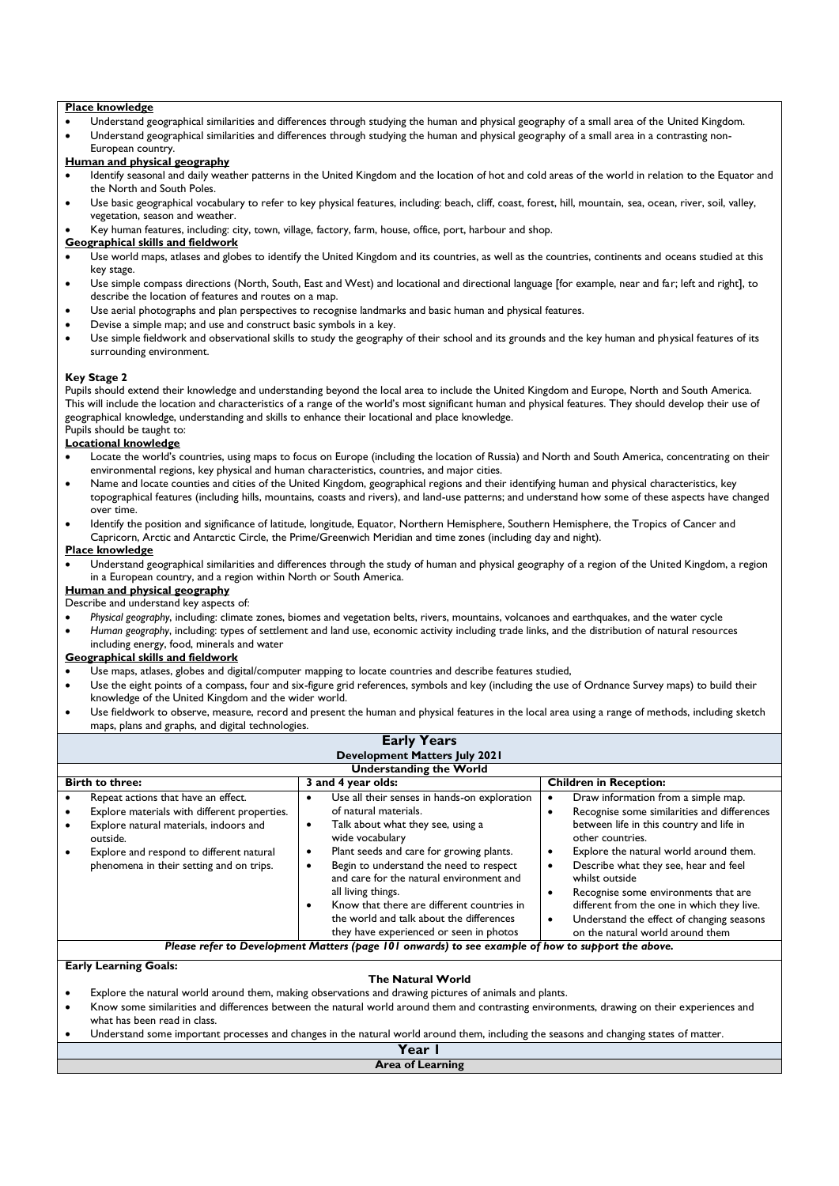#### **Place knowledge**

- Understand geographical similarities and differences through studying the human and physical geography of a small area of the United Kingdom. Understand geographical similarities and differences through studying the human and physical geography of a small area in a contrasting non-
- European country.

# **Human and physical geography**

- Identify seasonal and daily weather patterns in the United Kingdom and the location of hot and cold areas of the world in relation to the Equator and the North and South Poles.
- Use basic geographical vocabulary to refer to key physical features, including: beach, cliff, coast, forest, hill, mountain, sea, ocean, river, soil, valley, vegetation, season and weather.
- Key human features, including: city, town, village, factory, farm, house, office, port, harbour and shop.

#### **Geographical skills and fieldwork**

- Use world maps, atlases and globes to identify the United Kingdom and its countries, as well as the countries, continents and oceans studied at this key stage.
- Use simple compass directions (North, South, East and West) and locational and directional language [for example, near and far; left and right], to describe the location of features and routes on a map.
- Use aerial photographs and plan perspectives to recognise landmarks and basic human and physical features.
- Devise a simple map; and use and construct basic symbols in a key.
- Use simple fieldwork and observational skills to study the geography of their school and its grounds and the key human and physical features of its surrounding environment.

#### **Key Stage 2**

Pupils should extend their knowledge and understanding beyond the local area to include the United Kingdom and Europe, North and South America. This will include the location and characteristics of a range of the world's most significant human and physical features. They should develop their use of geographical knowledge, understanding and skills to enhance their locational and place knowledge.

# Pupils should be taught to:

- **Locational knowledge**
- Locate the world's countries, using maps to focus on Europe (including the location of Russia) and North and South America, concentrating on their environmental regions, key physical and human characteristics, countries, and major cities.
- Name and locate counties and cities of the United Kingdom, geographical regions and their identifying human and physical characteristics, key topographical features (including hills, mountains, coasts and rivers), and land-use patterns; and understand how some of these aspects have changed over time.
- Identify the position and significance of latitude, longitude, Equator, Northern Hemisphere, Southern Hemisphere, the Tropics of Cancer and Capricorn, Arctic and Antarctic Circle, the Prime/Greenwich Meridian and time zones (including day and night).

# **Place knowledge**

 Understand geographical similarities and differences through the study of human and physical geography of a region of the United Kingdom, a region in a European country, and a region within North or South America.

### **Human and physical geography**

- Describe and understand key aspects of:
- *Physical geography*, including: climate zones, biomes and vegetation belts, rivers, mountains, volcanoes and earthquakes, and the water cycle
- *Human geography*, including: types of settlement and land use, economic activity including trade links, and the distribution of natural resources including energy, food, minerals and water

#### **Geographical skills and fieldwork**

- Use maps, atlases, globes and digital/computer mapping to locate countries and describe features studied,
- Use the eight points of a compass, four and six-figure grid references, symbols and key (including the use of Ordnance Survey maps) to build their knowledge of the United Kingdom and the wider world.
- Use fieldwork to observe, measure, record and present the human and physical features in the local area using a range of methods, including sketch maps, plans and graphs, and digital technologies.

| <b>Early Years</b>                                                                                                                                                                                                                                          |                              |                                                                                                                                                                                                                                                                                                                                                                                                                                                                                                                                                          |                                                                                                                                                                                                                                                                                                                                                                                                                                |  |  |  |  |  |
|-------------------------------------------------------------------------------------------------------------------------------------------------------------------------------------------------------------------------------------------------------------|------------------------------|----------------------------------------------------------------------------------------------------------------------------------------------------------------------------------------------------------------------------------------------------------------------------------------------------------------------------------------------------------------------------------------------------------------------------------------------------------------------------------------------------------------------------------------------------------|--------------------------------------------------------------------------------------------------------------------------------------------------------------------------------------------------------------------------------------------------------------------------------------------------------------------------------------------------------------------------------------------------------------------------------|--|--|--|--|--|
| <b>Development Matters July 2021</b>                                                                                                                                                                                                                        |                              |                                                                                                                                                                                                                                                                                                                                                                                                                                                                                                                                                          |                                                                                                                                                                                                                                                                                                                                                                                                                                |  |  |  |  |  |
|                                                                                                                                                                                                                                                             |                              | <b>Understanding the World</b><br>3 and 4 year olds:                                                                                                                                                                                                                                                                                                                                                                                                                                                                                                     | <b>Children in Reception:</b>                                                                                                                                                                                                                                                                                                                                                                                                  |  |  |  |  |  |
| <b>Birth to three:</b><br>Repeat actions that have an effect.<br>Explore materials with different properties.<br>Explore natural materials, indoors and<br>outside.<br>Explore and respond to different natural<br>phenomena in their setting and on trips. |                              | Use all their senses in hands-on exploration<br>of natural materials.<br>Talk about what they see, using a<br>٠<br>wide vocabulary<br>Plant seeds and care for growing plants.<br>٠<br>Begin to understand the need to respect<br>$\bullet$<br>and care for the natural environment and<br>all living things.<br>Know that there are different countries in<br>the world and talk about the differences<br>they have experienced or seen in photos<br>Please refer to Development Matters (page 101 onwards) to see example of how to support the above. | Draw information from a simple map.<br>Recognise some similarities and differences<br>between life in this country and life in<br>other countries.<br>Explore the natural world around them.<br>Describe what they see, hear and feel<br>whilst outside<br>Recognise some environments that are<br>different from the one in which they live.<br>Understand the effect of changing seasons<br>on the natural world around them |  |  |  |  |  |
|                                                                                                                                                                                                                                                             | <b>Farly Learning Goals:</b> |                                                                                                                                                                                                                                                                                                                                                                                                                                                                                                                                                          |                                                                                                                                                                                                                                                                                                                                                                                                                                |  |  |  |  |  |

#### **Early Learning Goals:**

#### **The Natural World**

Explore the natural world around them, making observations and drawing pictures of animals and plants.

 Know some similarities and differences between the natural world around them and contrasting environments, drawing on their experiences and what has been read in class.

 Understand some important processes and changes in the natural world around them, including the seasons and changing states of matter. **Year 1 Area of Learning**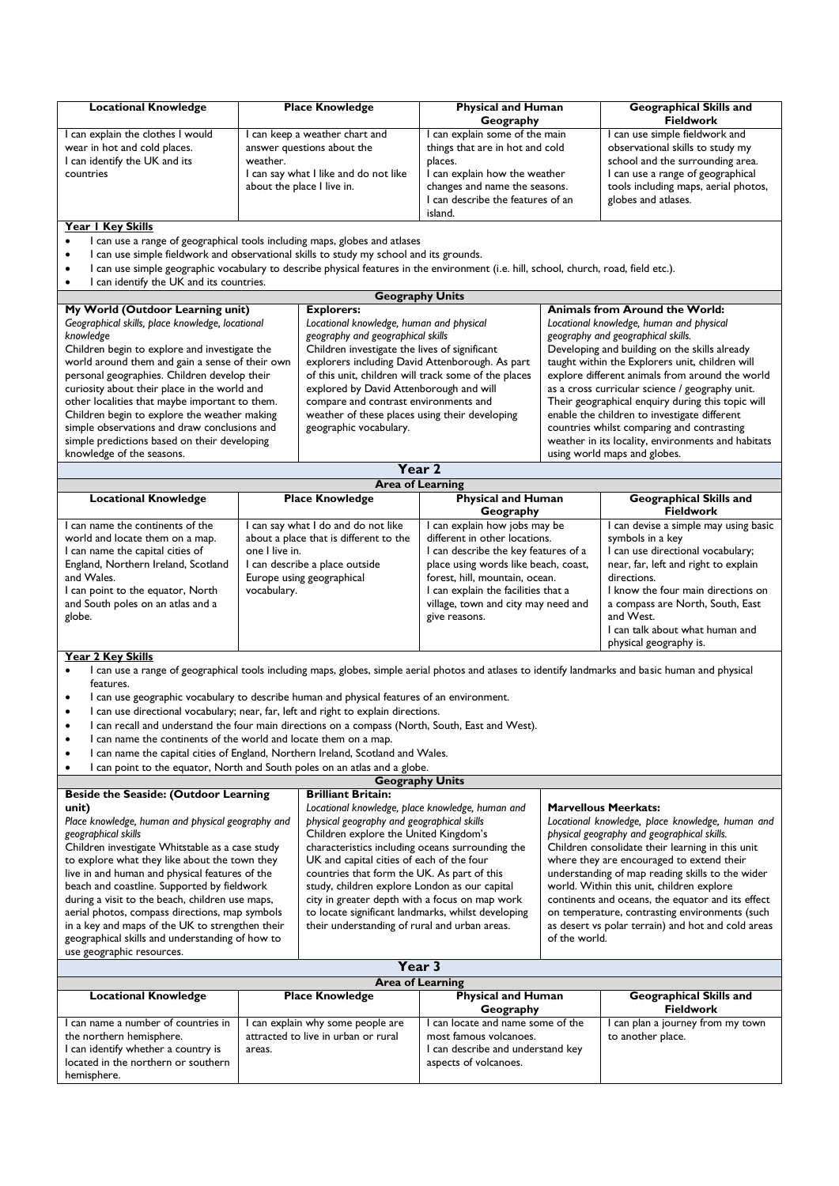| <b>Locational Knowledge</b>                                                                                                                                                      | <b>Place Knowledge</b> |                                                                                                         | <b>Physical and Human</b>                                                       |                                                                                                    | <b>Geographical Skills and</b>                                                                                                                      |  |
|----------------------------------------------------------------------------------------------------------------------------------------------------------------------------------|------------------------|---------------------------------------------------------------------------------------------------------|---------------------------------------------------------------------------------|----------------------------------------------------------------------------------------------------|-----------------------------------------------------------------------------------------------------------------------------------------------------|--|
|                                                                                                                                                                                  |                        | Geography                                                                                               |                                                                                 |                                                                                                    | <b>Fieldwork</b>                                                                                                                                    |  |
| can explain the clothes I would<br>wear in hot and cold places.                                                                                                                  |                        | I can explain some of the main<br>I can keep a weather chart and<br>answer questions about the          |                                                                                 |                                                                                                    | I can use simple fieldwork and<br>observational skills to study my                                                                                  |  |
| I can identify the UK and its                                                                                                                                                    | weather.               |                                                                                                         | things that are in hot and cold<br>places.                                      |                                                                                                    | school and the surrounding area.                                                                                                                    |  |
| countries                                                                                                                                                                        |                        | I can say what I like and do not like                                                                   | I can explain how the weather                                                   |                                                                                                    | I can use a range of geographical                                                                                                                   |  |
|                                                                                                                                                                                  |                        | about the place I live in.                                                                              | changes and name the seasons.                                                   |                                                                                                    | tools including maps, aerial photos,                                                                                                                |  |
|                                                                                                                                                                                  |                        | I can describe the features of an                                                                       |                                                                                 |                                                                                                    | globes and atlases.                                                                                                                                 |  |
| Year I Key Skills                                                                                                                                                                |                        |                                                                                                         | island.                                                                         |                                                                                                    |                                                                                                                                                     |  |
| I can use a range of geographical tools including maps, globes and atlases                                                                                                       |                        |                                                                                                         |                                                                                 |                                                                                                    |                                                                                                                                                     |  |
| I can use simple fieldwork and observational skills to study my school and its grounds.                                                                                          |                        |                                                                                                         |                                                                                 |                                                                                                    |                                                                                                                                                     |  |
| I can use simple geographic vocabulary to describe physical features in the environment (i.e. hill, school, church, road, field etc.).                                           |                        |                                                                                                         |                                                                                 |                                                                                                    |                                                                                                                                                     |  |
| I can identify the UK and its countries.                                                                                                                                         |                        | <b>Geography Units</b>                                                                                  |                                                                                 |                                                                                                    |                                                                                                                                                     |  |
| My World (Outdoor Learning unit)                                                                                                                                                 |                        | <b>Explorers:</b>                                                                                       |                                                                                 |                                                                                                    | <b>Animals from Around the World:</b>                                                                                                               |  |
| Geographical skills, place knowledge, locational                                                                                                                                 |                        | Locational knowledge, human and physical                                                                |                                                                                 | Locational knowledge, human and physical                                                           |                                                                                                                                                     |  |
| knowledge                                                                                                                                                                        |                        | geography and geographical skills                                                                       |                                                                                 | geography and geographical skills.                                                                 |                                                                                                                                                     |  |
| Children begin to explore and investigate the                                                                                                                                    |                        | Children investigate the lives of significant                                                           |                                                                                 | Developing and building on the skills already                                                      |                                                                                                                                                     |  |
| world around them and gain a sense of their own<br>personal geographies. Children develop their                                                                                  |                        | explorers including David Attenborough. As part<br>of this unit, children will track some of the places |                                                                                 | taught within the Explorers unit, children will<br>explore different animals from around the world |                                                                                                                                                     |  |
| curiosity about their place in the world and                                                                                                                                     |                        | explored by David Attenborough and will                                                                 |                                                                                 | as a cross curricular science / geography unit.                                                    |                                                                                                                                                     |  |
| other localities that maybe important to them.                                                                                                                                   |                        | compare and contrast environments and                                                                   |                                                                                 | Their geographical enquiry during this topic will                                                  |                                                                                                                                                     |  |
| Children begin to explore the weather making                                                                                                                                     |                        | weather of these places using their developing                                                          |                                                                                 | enable the children to investigate different                                                       |                                                                                                                                                     |  |
| simple observations and draw conclusions and                                                                                                                                     |                        | geographic vocabulary.                                                                                  |                                                                                 |                                                                                                    | countries whilst comparing and contrasting                                                                                                          |  |
| simple predictions based on their developing<br>knowledge of the seasons.                                                                                                        |                        |                                                                                                         |                                                                                 |                                                                                                    | weather in its locality, environments and habitats<br>using world maps and globes.                                                                  |  |
|                                                                                                                                                                                  |                        | Year 2                                                                                                  |                                                                                 |                                                                                                    |                                                                                                                                                     |  |
|                                                                                                                                                                                  |                        | <b>Area of Learning</b>                                                                                 |                                                                                 |                                                                                                    |                                                                                                                                                     |  |
| <b>Locational Knowledge</b>                                                                                                                                                      |                        | <b>Place Knowledge</b>                                                                                  | <b>Physical and Human</b>                                                       |                                                                                                    | <b>Geographical Skills and</b>                                                                                                                      |  |
| can name the continents of the                                                                                                                                                   |                        | I can say what I do and do not like                                                                     | Geography<br>I can explain how jobs may be                                      |                                                                                                    | <b>Fieldwork</b><br>I can devise a simple may using basic                                                                                           |  |
| world and locate them on a map.                                                                                                                                                  |                        | about a place that is different to the                                                                  | different in other locations.                                                   |                                                                                                    | symbols in a key                                                                                                                                    |  |
| I can name the capital cities of                                                                                                                                                 | one I live in.         | I can describe the key features of a                                                                    |                                                                                 |                                                                                                    | I can use directional vocabulary;                                                                                                                   |  |
| England, Northern Ireland, Scotland                                                                                                                                              |                        | I can describe a place outside<br>place using words like beach, coast,                                  |                                                                                 | near, far, left and right to explain<br>directions.                                                |                                                                                                                                                     |  |
| and Wales.<br>I can point to the equator, North                                                                                                                                  | vocabulary.            | Europe using geographical<br>forest, hill, mountain, ocean.<br>I can explain the facilities that a      |                                                                                 |                                                                                                    | I know the four main directions on                                                                                                                  |  |
| and South poles on an atlas and a                                                                                                                                                |                        | village, town and city may need and                                                                     |                                                                                 | a compass are North, South, East                                                                   |                                                                                                                                                     |  |
| globe.                                                                                                                                                                           |                        |                                                                                                         | give reasons.                                                                   |                                                                                                    | and West.                                                                                                                                           |  |
|                                                                                                                                                                                  |                        |                                                                                                         |                                                                                 |                                                                                                    | I can talk about what human and                                                                                                                     |  |
| Year 2 Key Skills                                                                                                                                                                |                        |                                                                                                         |                                                                                 |                                                                                                    | physical geography is.                                                                                                                              |  |
|                                                                                                                                                                                  |                        |                                                                                                         |                                                                                 |                                                                                                    | I can use a range of geographical tools including maps, globes, simple aerial photos and atlases to identify landmarks and basic human and physical |  |
| features.                                                                                                                                                                        |                        |                                                                                                         |                                                                                 |                                                                                                    |                                                                                                                                                     |  |
| I can use geographic vocabulary to describe human and physical features of an environment.<br>I can use directional vocabulary; near, far, left and right to explain directions. |                        |                                                                                                         |                                                                                 |                                                                                                    |                                                                                                                                                     |  |
| I can recall and understand the four main directions on a compass (North, South, East and West).                                                                                 |                        |                                                                                                         |                                                                                 |                                                                                                    |                                                                                                                                                     |  |
| I can name the continents of the world and locate them on a map.                                                                                                                 |                        |                                                                                                         |                                                                                 |                                                                                                    |                                                                                                                                                     |  |
| I can name the capital cities of England, Northern Ireland, Scotland and Wales.                                                                                                  |                        |                                                                                                         |                                                                                 |                                                                                                    |                                                                                                                                                     |  |
| I can point to the equator, North and South poles on an atlas and a globe.                                                                                                       |                        |                                                                                                         |                                                                                 |                                                                                                    |                                                                                                                                                     |  |
| <b>Beside the Seaside: (Outdoor Learning</b>                                                                                                                                     |                        | <b>Geography Units</b><br><b>Brilliant Britain:</b>                                                     |                                                                                 |                                                                                                    |                                                                                                                                                     |  |
| unit)                                                                                                                                                                            |                        |                                                                                                         | Locational knowledge, place knowledge, human and<br><b>Marvellous Meerkats:</b> |                                                                                                    |                                                                                                                                                     |  |
| Place knowledge, human and physical geography and                                                                                                                                |                        | physical geography and geographical skills                                                              |                                                                                 | Locational knowledge, place knowledge, human and                                                   |                                                                                                                                                     |  |
| geographical skills                                                                                                                                                              |                        | Children explore the United Kingdom's                                                                   |                                                                                 | physical geography and geographical skills.                                                        |                                                                                                                                                     |  |
| Children investigate Whitstable as a case study                                                                                                                                  |                        | characteristics including oceans surrounding the                                                        |                                                                                 | Children consolidate their learning in this unit<br>where they are encouraged to extend their      |                                                                                                                                                     |  |
| to explore what they like about the town they<br>live in and human and physical features of the                                                                                  |                        | UK and capital cities of each of the four<br>countries that form the UK. As part of this                |                                                                                 | understanding of map reading skills to the wider                                                   |                                                                                                                                                     |  |
| beach and coastline. Supported by fieldwork                                                                                                                                      |                        | study, children explore London as our capital                                                           |                                                                                 | world. Within this unit, children explore                                                          |                                                                                                                                                     |  |
| during a visit to the beach, children use maps,                                                                                                                                  |                        | city in greater depth with a focus on map work                                                          |                                                                                 | continents and oceans, the equator and its effect                                                  |                                                                                                                                                     |  |
| aerial photos, compass directions, map symbols                                                                                                                                   |                        | to locate significant landmarks, whilst developing                                                      |                                                                                 | on temperature, contrasting environments (such                                                     |                                                                                                                                                     |  |
| in a key and maps of the UK to strengthen their<br>geographical skills and understanding of how to                                                                               |                        | their understanding of rural and urban areas.                                                           |                                                                                 | as desert vs polar terrain) and hot and cold areas<br>of the world.                                |                                                                                                                                                     |  |
| use geographic resources.                                                                                                                                                        |                        |                                                                                                         |                                                                                 |                                                                                                    |                                                                                                                                                     |  |
| Year 3                                                                                                                                                                           |                        |                                                                                                         |                                                                                 |                                                                                                    |                                                                                                                                                     |  |
|                                                                                                                                                                                  |                        | <b>Area of Learning</b>                                                                                 |                                                                                 |                                                                                                    |                                                                                                                                                     |  |
| <b>Locational Knowledge</b>                                                                                                                                                      |                        | <b>Place Knowledge</b>                                                                                  | <b>Physical and Human</b><br>Geography                                          |                                                                                                    | Geographical Skills and<br><b>Fieldwork</b>                                                                                                         |  |
| I can name a number of countries in                                                                                                                                              |                        | I can explain why some people are                                                                       | I can locate and name some of the                                               |                                                                                                    | I can plan a journey from my town                                                                                                                   |  |
| the northern hemisphere.                                                                                                                                                         |                        | attracted to live in urban or rural                                                                     | most famous volcanoes.                                                          |                                                                                                    | to another place.                                                                                                                                   |  |
| I can identify whether a country is                                                                                                                                              | areas.                 |                                                                                                         | I can describe and understand key                                               |                                                                                                    |                                                                                                                                                     |  |
| located in the northern or southern<br>aspects of volcanoes.<br>hemisphere.                                                                                                      |                        |                                                                                                         |                                                                                 |                                                                                                    |                                                                                                                                                     |  |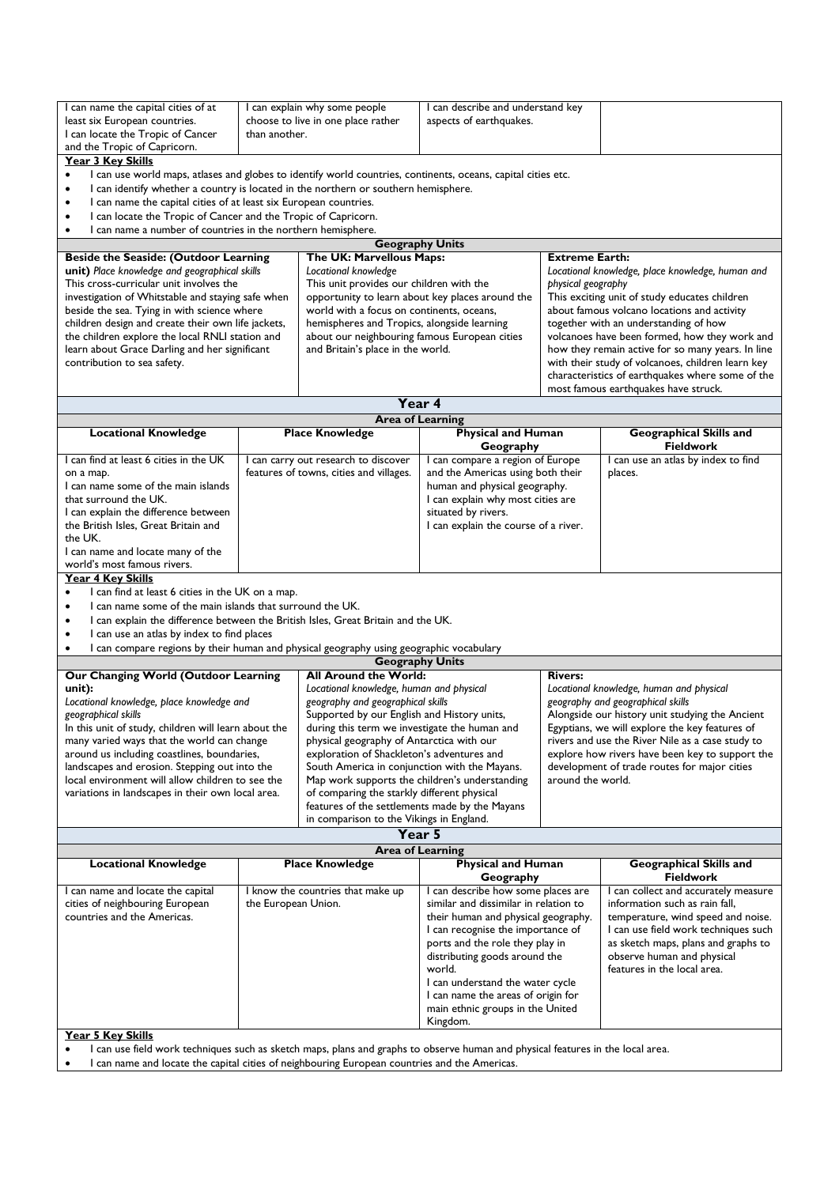| I can name the capital cities of at<br>least six European countries.<br>I can locate the Tropic of Cancer<br>and the Tropic of Capricorn.  | I can explain why some people<br>choose to live in one place rather<br>than another. |                                                                                            | I can describe and understand key<br>aspects of earthquakes.                                      |                                                                                                    |                                                                                                    |  |
|--------------------------------------------------------------------------------------------------------------------------------------------|--------------------------------------------------------------------------------------|--------------------------------------------------------------------------------------------|---------------------------------------------------------------------------------------------------|----------------------------------------------------------------------------------------------------|----------------------------------------------------------------------------------------------------|--|
| Year 3 Key Skills                                                                                                                          |                                                                                      |                                                                                            |                                                                                                   |                                                                                                    |                                                                                                    |  |
| I can use world maps, atlases and globes to identify world countries, continents, oceans, capital cities etc.<br>٠                         |                                                                                      |                                                                                            |                                                                                                   |                                                                                                    |                                                                                                    |  |
| I can identify whether a country is located in the northern or southern hemisphere.<br>٠                                                   |                                                                                      |                                                                                            |                                                                                                   |                                                                                                    |                                                                                                    |  |
| I can name the capital cities of at least six European countries.<br>$\bullet$                                                             |                                                                                      |                                                                                            |                                                                                                   |                                                                                                    |                                                                                                    |  |
| I can locate the Tropic of Cancer and the Tropic of Capricorn.                                                                             |                                                                                      |                                                                                            |                                                                                                   |                                                                                                    |                                                                                                    |  |
| I can name a number of countries in the northern hemisphere.<br>٠                                                                          |                                                                                      |                                                                                            |                                                                                                   |                                                                                                    |                                                                                                    |  |
| <b>Beside the Seaside: (Outdoor Learning</b>                                                                                               |                                                                                      | The UK: Marvellous Maps:                                                                   | <b>Geography Units</b>                                                                            | <b>Extreme Earth:</b>                                                                              |                                                                                                    |  |
| <b>unit)</b> Place knowledge and geographical skills                                                                                       |                                                                                      | Locational knowledge                                                                       |                                                                                                   |                                                                                                    | Locational knowledge, place knowledge, human and                                                   |  |
| This cross-curricular unit involves the                                                                                                    |                                                                                      | This unit provides our children with the                                                   |                                                                                                   | physical geography                                                                                 |                                                                                                    |  |
| investigation of Whitstable and staying safe when                                                                                          |                                                                                      |                                                                                            | opportunity to learn about key places around the<br>This exciting unit of study educates children |                                                                                                    |                                                                                                    |  |
| beside the sea. Tying in with science where                                                                                                |                                                                                      | world with a focus on continents, oceans,                                                  | about famous volcano locations and activity                                                       |                                                                                                    |                                                                                                    |  |
| children design and create their own life jackets,                                                                                         |                                                                                      |                                                                                            | hemispheres and Tropics, alongside learning                                                       |                                                                                                    | together with an understanding of how                                                              |  |
| the children explore the local RNLI station and<br>learn about Grace Darling and her significant                                           |                                                                                      | about our neighbouring famous European cities<br>and Britain's place in the world.         |                                                                                                   | volcanoes have been formed, how they work and<br>how they remain active for so many years. In line |                                                                                                    |  |
| contribution to sea safety.                                                                                                                |                                                                                      |                                                                                            |                                                                                                   | with their study of volcanoes, children learn key                                                  |                                                                                                    |  |
|                                                                                                                                            |                                                                                      |                                                                                            |                                                                                                   | characteristics of earthquakes where some of the                                                   |                                                                                                    |  |
|                                                                                                                                            |                                                                                      |                                                                                            |                                                                                                   |                                                                                                    | most famous earthquakes have struck.                                                               |  |
|                                                                                                                                            |                                                                                      |                                                                                            | Year 4                                                                                            |                                                                                                    |                                                                                                    |  |
|                                                                                                                                            |                                                                                      | <b>Area of Learning</b>                                                                    |                                                                                                   |                                                                                                    |                                                                                                    |  |
| <b>Locational Knowledge</b>                                                                                                                |                                                                                      | <b>Place Knowledge</b>                                                                     | <b>Physical and Human</b>                                                                         |                                                                                                    | <b>Geographical Skills and</b><br><b>Fieldwork</b>                                                 |  |
| I can find at least 6 cities in the UK                                                                                                     |                                                                                      | I can carry out research to discover                                                       | Geography<br>I can compare a region of Europe                                                     |                                                                                                    | I can use an atlas by index to find                                                                |  |
| on a map.                                                                                                                                  |                                                                                      | features of towns, cities and villages.                                                    | and the Americas using both their                                                                 |                                                                                                    | places.                                                                                            |  |
| I can name some of the main islands                                                                                                        |                                                                                      |                                                                                            | human and physical geography.                                                                     |                                                                                                    |                                                                                                    |  |
| that surround the UK.                                                                                                                      |                                                                                      |                                                                                            | I can explain why most cities are                                                                 |                                                                                                    |                                                                                                    |  |
| I can explain the difference between                                                                                                       |                                                                                      |                                                                                            | situated by rivers.                                                                               |                                                                                                    |                                                                                                    |  |
| the British Isles, Great Britain and                                                                                                       |                                                                                      |                                                                                            | I can explain the course of a river.                                                              |                                                                                                    |                                                                                                    |  |
| the UK.<br>I can name and locate many of the                                                                                               |                                                                                      |                                                                                            |                                                                                                   |                                                                                                    |                                                                                                    |  |
| world's most famous rivers.                                                                                                                |                                                                                      |                                                                                            |                                                                                                   |                                                                                                    |                                                                                                    |  |
| Year 4 Key Skills                                                                                                                          |                                                                                      |                                                                                            |                                                                                                   |                                                                                                    |                                                                                                    |  |
| I can find at least 6 cities in the UK on a map.                                                                                           |                                                                                      |                                                                                            |                                                                                                   |                                                                                                    |                                                                                                    |  |
| I can name some of the main islands that surround the UK.<br>٠                                                                             |                                                                                      |                                                                                            |                                                                                                   |                                                                                                    |                                                                                                    |  |
| I can explain the difference between the British Isles, Great Britain and the UK.<br>٠                                                     |                                                                                      |                                                                                            |                                                                                                   |                                                                                                    |                                                                                                    |  |
| I can use an atlas by index to find places<br>٠<br>I can compare regions by their human and physical geography using geographic vocabulary |                                                                                      |                                                                                            |                                                                                                   |                                                                                                    |                                                                                                    |  |
| ٠                                                                                                                                          |                                                                                      |                                                                                            | <b>Geography Units</b>                                                                            |                                                                                                    |                                                                                                    |  |
| Our Changing World (Outdoor Learning                                                                                                       |                                                                                      | <b>All Around the World:</b>                                                               |                                                                                                   | <b>Rivers:</b>                                                                                     |                                                                                                    |  |
| unit):                                                                                                                                     |                                                                                      | Locational knowledge, human and physical                                                   | Locational knowledge, human and physical                                                          |                                                                                                    |                                                                                                    |  |
| Locational knowledge, place knowledge and                                                                                                  |                                                                                      | geography and geographical skills                                                          |                                                                                                   |                                                                                                    | geography and geographical skills                                                                  |  |
| geographical skills                                                                                                                        |                                                                                      | Supported by our English and History units,                                                |                                                                                                   |                                                                                                    | Alongside our history unit studying the Ancient                                                    |  |
| In this unit of study, children will learn about the<br>many varied ways that the world can change                                         |                                                                                      | physical geography of Antarctica with our                                                  | during this term we investigate the human and                                                     |                                                                                                    | Egyptians, we will explore the key features of<br>rivers and use the River Nile as a case study to |  |
| around us including coastlines, boundaries,                                                                                                |                                                                                      | exploration of Shackleton's adventures and                                                 |                                                                                                   |                                                                                                    | explore how rivers have been key to support the                                                    |  |
| landscapes and erosion. Stepping out into the                                                                                              |                                                                                      | South America in conjunction with the Mayans.                                              |                                                                                                   |                                                                                                    | development of trade routes for major cities                                                       |  |
| local environment will allow children to see the                                                                                           | Map work supports the children's understanding                                       |                                                                                            | around the world.                                                                                 |                                                                                                    |                                                                                                    |  |
| variations in landscapes in their own local area.                                                                                          |                                                                                      | of comparing the starkly different physical                                                |                                                                                                   |                                                                                                    |                                                                                                    |  |
|                                                                                                                                            |                                                                                      | features of the settlements made by the Mayans<br>in comparison to the Vikings in England. |                                                                                                   |                                                                                                    |                                                                                                    |  |
|                                                                                                                                            |                                                                                      |                                                                                            |                                                                                                   |                                                                                                    |                                                                                                    |  |
| Year <sub>5</sub><br><b>Area of Learning</b>                                                                                               |                                                                                      |                                                                                            |                                                                                                   |                                                                                                    |                                                                                                    |  |
| <b>Locational Knowledge</b>                                                                                                                |                                                                                      | <b>Place Knowledge</b>                                                                     | <b>Physical and Human</b>                                                                         |                                                                                                    | <b>Geographical Skills and</b>                                                                     |  |
|                                                                                                                                            |                                                                                      |                                                                                            | Geography                                                                                         |                                                                                                    | <b>Fieldwork</b>                                                                                   |  |
| I can name and locate the capital                                                                                                          | I know the countries that make up                                                    |                                                                                            | I can describe how some places are                                                                |                                                                                                    | I can collect and accurately measure                                                               |  |
| cities of neighbouring European<br>the European Union.                                                                                     |                                                                                      |                                                                                            | similar and dissimilar in relation to<br>their human and physical geography.                      |                                                                                                    | information such as rain fall,                                                                     |  |
| countries and the Americas.                                                                                                                |                                                                                      |                                                                                            |                                                                                                   |                                                                                                    | temperature, wind speed and noise.                                                                 |  |
|                                                                                                                                            |                                                                                      | I can recognise the importance of<br>ports and the role they play in                       |                                                                                                   |                                                                                                    | I can use field work techniques such<br>as sketch maps, plans and graphs to                        |  |
|                                                                                                                                            |                                                                                      | distributing goods around the                                                              |                                                                                                   |                                                                                                    | observe human and physical                                                                         |  |
|                                                                                                                                            |                                                                                      |                                                                                            | world.                                                                                            |                                                                                                    | features in the local area.                                                                        |  |
|                                                                                                                                            |                                                                                      |                                                                                            | I can understand the water cycle                                                                  |                                                                                                    |                                                                                                    |  |
|                                                                                                                                            |                                                                                      |                                                                                            | I can name the areas of origin for                                                                |                                                                                                    |                                                                                                    |  |
|                                                                                                                                            |                                                                                      |                                                                                            | main ethnic groups in the United<br>Kingdom.                                                      |                                                                                                    |                                                                                                    |  |
| Year 5 Key Skills                                                                                                                          |                                                                                      |                                                                                            |                                                                                                   |                                                                                                    |                                                                                                    |  |
| I can use field work techniques such as sketch maps, plans and graphs to observe human and physical features in the local area.            |                                                                                      |                                                                                            |                                                                                                   |                                                                                                    |                                                                                                    |  |
| I can name and locate the capital cities of neighbouring European countries and the Americas.<br>$\bullet$                                 |                                                                                      |                                                                                            |                                                                                                   |                                                                                                    |                                                                                                    |  |